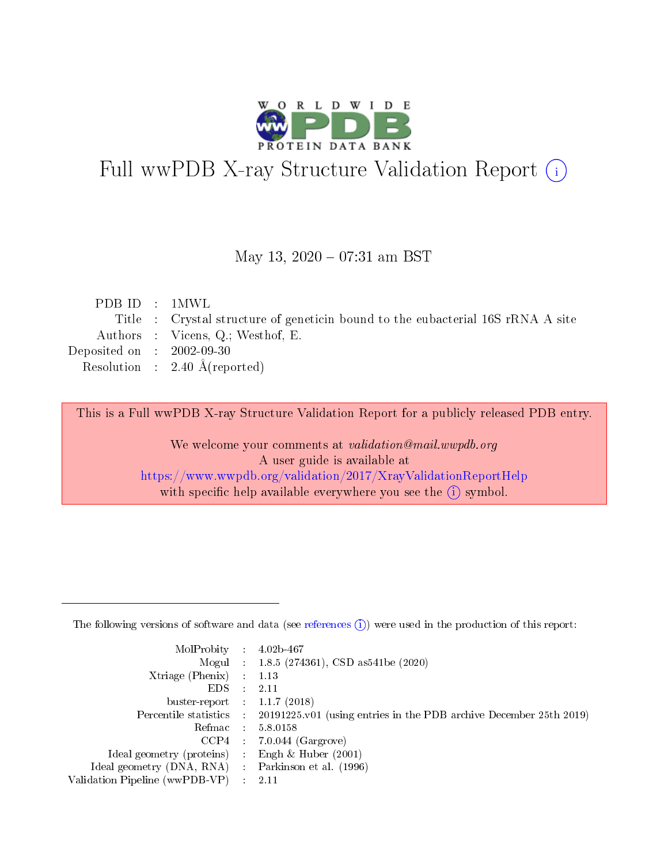

# Full wwPDB X-ray Structure Validation Report (i)

#### May 13,  $2020 - 07:31$  am BST

| PDB ID : 1MWL               |                                                                                 |
|-----------------------------|---------------------------------------------------------------------------------|
|                             | Title : Crystal structure of geneticin bound to the eubacterial 16S rRNA A site |
|                             | Authors : Vicens, Q.; Westhof, E.                                               |
| Deposited on : $2002-09-30$ |                                                                                 |
|                             | Resolution : $2.40 \text{ Å}$ (reported)                                        |
|                             |                                                                                 |

This is a Full wwPDB X-ray Structure Validation Report for a publicly released PDB entry.

We welcome your comments at validation@mail.wwpdb.org A user guide is available at <https://www.wwpdb.org/validation/2017/XrayValidationReportHelp> with specific help available everywhere you see the  $(i)$  symbol.

The following versions of software and data (see [references](https://www.wwpdb.org/validation/2017/XrayValidationReportHelp#references)  $(1)$ ) were used in the production of this report:

| $MolProbability$ 4.02b-467                          |                                                                                            |
|-----------------------------------------------------|--------------------------------------------------------------------------------------------|
|                                                     | Mogul : 1.8.5 (274361), CSD as 541 be (2020)                                               |
| $Xtriangle (Phenix)$ : 1.13                         |                                                                                            |
| $EDS$ :                                             | -2.11                                                                                      |
| buster-report : $1.1.7$ (2018)                      |                                                                                            |
|                                                     | Percentile statistics : 20191225.v01 (using entries in the PDB archive December 25th 2019) |
| Refmac $5.8.0158$                                   |                                                                                            |
|                                                     | $CCP4$ 7.0.044 (Gargrove)                                                                  |
| Ideal geometry (proteins) :                         | Engh $\&$ Huber (2001)                                                                     |
| Ideal geometry (DNA, RNA) : Parkinson et al. (1996) |                                                                                            |
| Validation Pipeline (wwPDB-VP) : 2.11               |                                                                                            |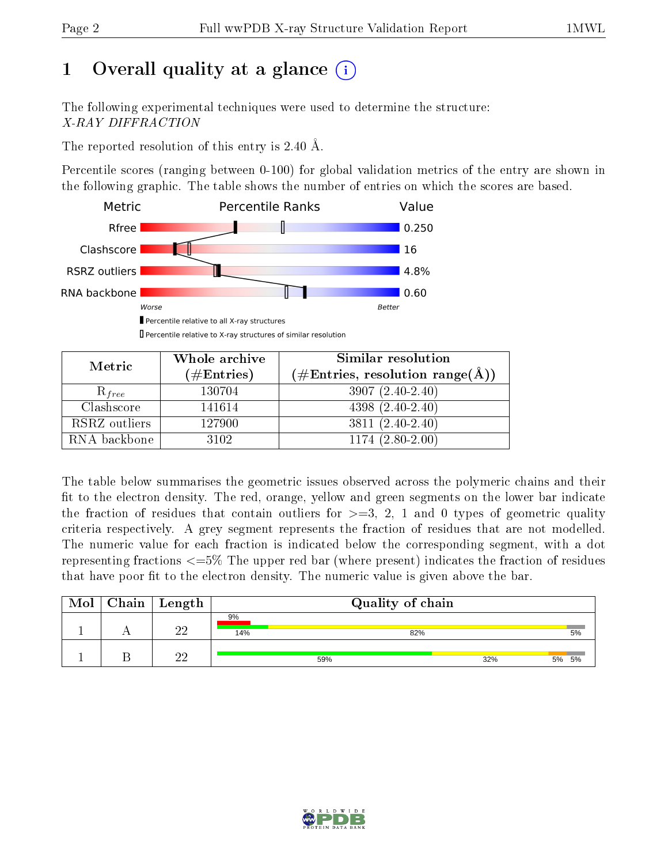# 1 [O](https://www.wwpdb.org/validation/2017/XrayValidationReportHelp#overall_quality)verall quality at a glance  $(i)$

The following experimental techniques were used to determine the structure: X-RAY DIFFRACTION

The reported resolution of this entry is 2.40 Å.

Percentile scores (ranging between 0-100) for global validation metrics of the entry are shown in the following graphic. The table shows the number of entries on which the scores are based.



Percentile relative to X-ray structures of similar resolution

| Metric        | Whole archive | Similar resolution                 |  |  |  |  |
|---------------|---------------|------------------------------------|--|--|--|--|
|               | $(\#Entries)$ | $(\#Entries, resolution range(A))$ |  |  |  |  |
| $R_{free}$    | 130704        | $3907(2.40-2.40)$                  |  |  |  |  |
| Clashscore    | 141614        | $4398(2.40-2.40)$                  |  |  |  |  |
| RSRZ outliers | 127900        | $3811 (2.40 - 2.40)$               |  |  |  |  |
| RNA backbone  | 3102          | $1174(2.80-2.00)$                  |  |  |  |  |

The table below summarises the geometric issues observed across the polymeric chains and their fit to the electron density. The red, orange, yellow and green segments on the lower bar indicate the fraction of residues that contain outliers for  $\geq=3$ , 2, 1 and 0 types of geometric quality criteria respectively. A grey segment represents the fraction of residues that are not modelled. The numeric value for each fraction is indicated below the corresponding segment, with a dot representing fractions  $\epsilon = 5\%$  The upper red bar (where present) indicates the fraction of residues that have poor fit to the electron density. The numeric value is given above the bar.

| Mol | $\lceil \ \text{Chain} \mid \text{Length} \ \rceil$ |           | Quality of chain |     |       |
|-----|-----------------------------------------------------|-----------|------------------|-----|-------|
|     | ഹ                                                   | 9%<br>14% | 82%              |     | 5%    |
|     | ഹ                                                   |           | 59%              | 32% | 5% 5% |

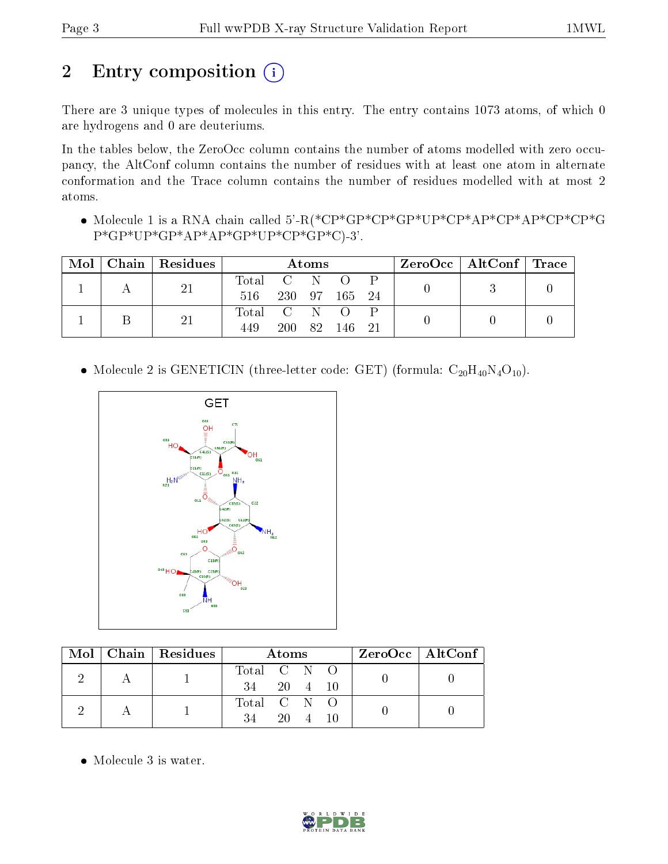# 2 Entry composition (i)

There are 3 unique types of molecules in this entry. The entry contains 1073 atoms, of which 0 are hydrogens and 0 are deuteriums.

In the tables below, the ZeroOcc column contains the number of atoms modelled with zero occupancy, the AltConf column contains the number of residues with at least one atom in alternate conformation and the Trace column contains the number of residues modelled with at most 2 atoms.

 Molecule 1 is a RNA chain called 5'-R(\*CP\*GP\*CP\*GP\*UP\*CP\*AP\*CP\*AP\*CP\*CP\*G P\*GP\*UP\*GP\*AP\*AP\*GP\*UP\*CP\*GP\*C)-3'.

| Mol | $\mid$ Chain $\mid$ Residues $\mid$ | Atoms       |        |     |                  | $\text{ZeroOcc}$   AltConf   Trace |  |  |  |
|-----|-------------------------------------|-------------|--------|-----|------------------|------------------------------------|--|--|--|
|     | 21                                  | Total C N   |        |     | $\left( \right)$ |                                    |  |  |  |
|     |                                     | 516         | 230 97 |     | -165             | - 24                               |  |  |  |
|     | 21                                  | Total C N O |        |     |                  |                                    |  |  |  |
|     |                                     | 449         | 200    | 82. | 146              |                                    |  |  |  |

• Molecule 2 is GENETICIN (three-letter code: GET) (formula:  $C_{20}H_{40}N_4O_{10}$ ).



|  |  | $\text{Mol}$   Chain   Residues | <b>Atoms</b> |      |  |  | ZeroOcc   AltConf |
|--|--|---------------------------------|--------------|------|--|--|-------------------|
|  |  |                                 | Total C N O  |      |  |  |                   |
|  |  | 34 20 4 10                      |              |      |  |  |                   |
|  |  |                                 | Total C N O  |      |  |  |                   |
|  |  |                                 | 34           | 20 — |  |  |                   |

• Molecule 3 is water.

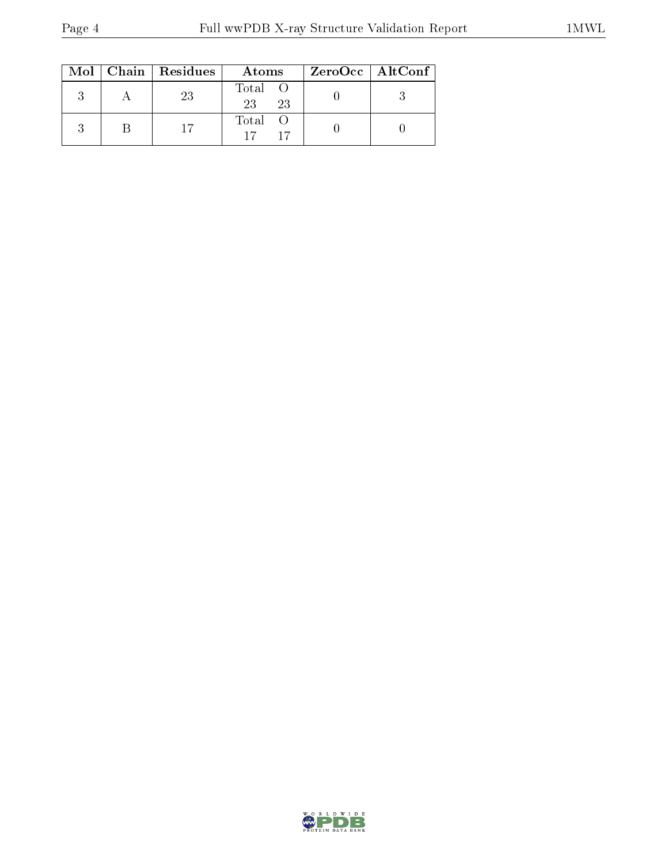|  | $Mol$   Chain   Residues | Atoms               | ZeroOcc   AltConf |
|--|--------------------------|---------------------|-------------------|
|  | 23                       | Total O<br>23<br>23 |                   |
|  |                          | Total O             |                   |

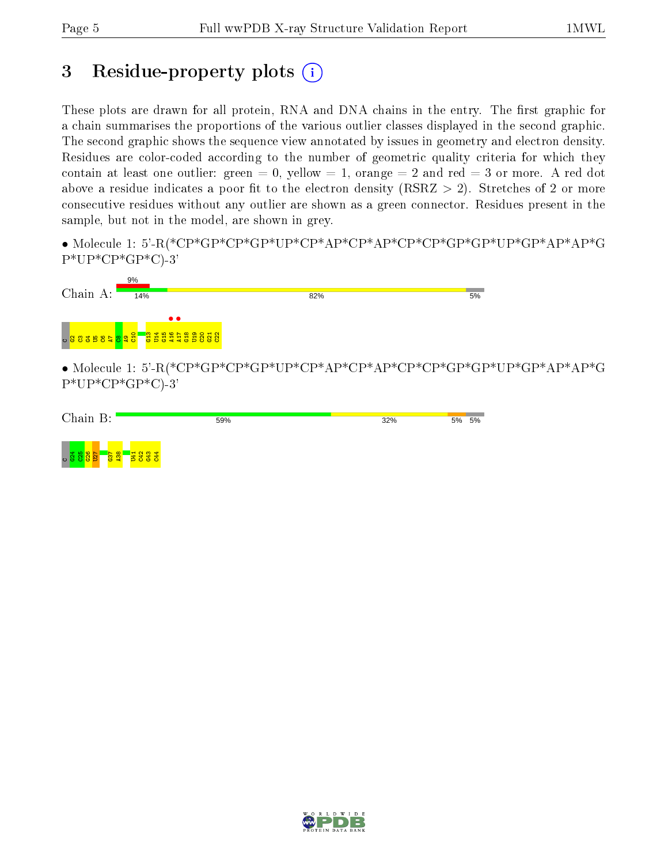## 3 Residue-property plots  $(i)$

These plots are drawn for all protein, RNA and DNA chains in the entry. The first graphic for a chain summarises the proportions of the various outlier classes displayed in the second graphic. The second graphic shows the sequence view annotated by issues in geometry and electron density. Residues are color-coded according to the number of geometric quality criteria for which they contain at least one outlier: green  $= 0$ , yellow  $= 1$ , orange  $= 2$  and red  $= 3$  or more. A red dot above a residue indicates a poor fit to the electron density (RSRZ  $> 2$ ). Stretches of 2 or more consecutive residues without any outlier are shown as a green connector. Residues present in the sample, but not in the model, are shown in grey.

• Molecule 1: 5'-R(\*CP\*GP\*CP\*GP\*UP\*CP\*AP\*CP\*AP\*CP\*CP\*GP\*GP\*UP\*GP\*AP\*AP\*G P\*UP\*CP\*GP\*C)-3'



• Molecule 1: 5'-R(\*CP\*GP\*CP\*GP\*UP\*CP\*AP\*CP\*AP\*CP\*CP\*GP\*GP\*UP\*GP\*AP\*AP\*G  $P*UP*CP*GP*C$ -3'



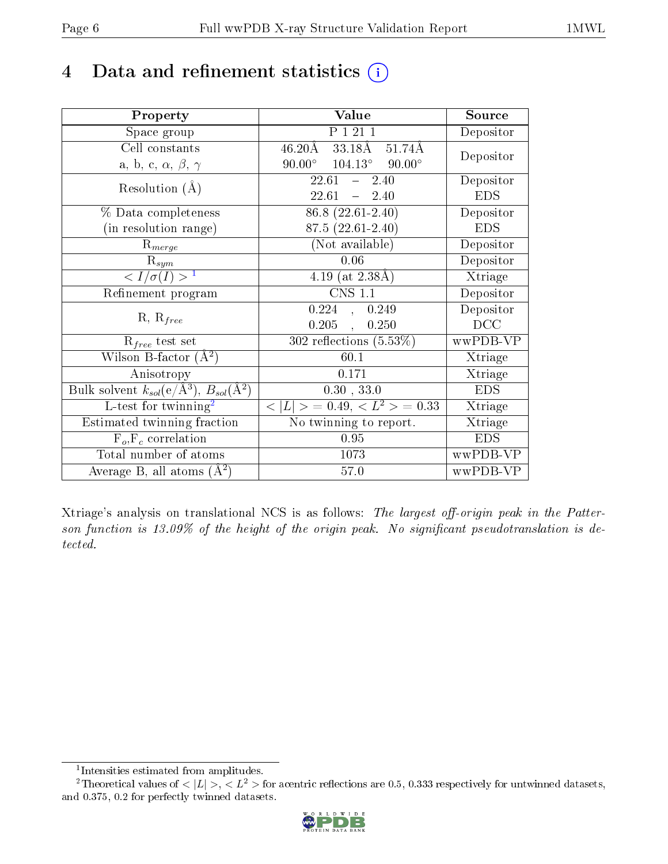## 4 Data and refinement statistics  $(i)$

| Property                                                             | Value                                                               | Source                       |
|----------------------------------------------------------------------|---------------------------------------------------------------------|------------------------------|
| Space group                                                          | P 1 21 1                                                            | Depositor                    |
| Cell constants                                                       | $46.20\text{\AA}$ $33.1\overline{8\text{\AA}}$<br>$51.74\text{\AA}$ | Depositor                    |
| a, b, c, $\alpha$ , $\beta$ , $\gamma$                               | $90.00^{\circ}$ $104.13^{\circ}$ $90.00^{\circ}$                    |                              |
| Resolution $(A)$                                                     | 22.61<br>$-2.40$                                                    | Depositor                    |
|                                                                      | 22.61<br>$-2.40$                                                    | <b>EDS</b>                   |
| % Data completeness                                                  | 86.8 (22.61-2.40)                                                   | Depositor                    |
| (in resolution range)                                                | 87.5 (22.61-2.40)                                                   | <b>EDS</b>                   |
| $R_{merge}$                                                          | (Not available)                                                     | Depositor                    |
| $R_{sym}$                                                            | 0.06                                                                | Depositor                    |
| $\langle I/\sigma(I) \rangle^{-1}$                                   | 4.19 (at $2.38\text{\AA}$ )                                         | Xtriage                      |
| Refinement program                                                   | <b>CNS 1.1</b>                                                      | Depositor                    |
|                                                                      | 0.224<br>, 0.249                                                    | Depositor                    |
| $R, R_{free}$                                                        | $0.205$ ,<br>0.250                                                  | DCC                          |
| $R_{free}$ test set                                                  | 302 reflections $(5.53\%)$                                          | wwPDB-VP                     |
| Wilson B-factor $(A^2)$                                              | 60.1                                                                | Xtriage                      |
| Anisotropy                                                           | 0.171                                                               | Xtriage                      |
| Bulk solvent $k_{sol}(e/\mathring{A}^3)$ , $B_{sol}(\mathring{A}^2)$ | 0.30, 33.0                                                          | <b>EDS</b>                   |
| L-test for twinning <sup>2</sup>                                     | $< L >$ = 0.49, $< L2$ > = 0.33                                     | Xtriage                      |
| Estimated twinning fraction                                          | No twinning to report.                                              | $\overline{\text{X}}$ triage |
| $F_o, F_c$ correlation                                               | 0.95                                                                | <b>EDS</b>                   |
| Total number of atoms                                                | 1073                                                                | wwPDB-VP                     |
| Average B, all atoms $(A^2)$                                         | 57.0                                                                | wwPDB-VP                     |

Xtriage's analysis on translational NCS is as follows: The largest off-origin peak in the Patterson function is  $13.09\%$  of the height of the origin peak. No significant pseudotranslation is detected.

<sup>&</sup>lt;sup>2</sup>Theoretical values of  $\langle |L| \rangle$ ,  $\langle L^2 \rangle$  for acentric reflections are 0.5, 0.333 respectively for untwinned datasets, and 0.375, 0.2 for perfectly twinned datasets.



<span id="page-5-1"></span><span id="page-5-0"></span><sup>1</sup> Intensities estimated from amplitudes.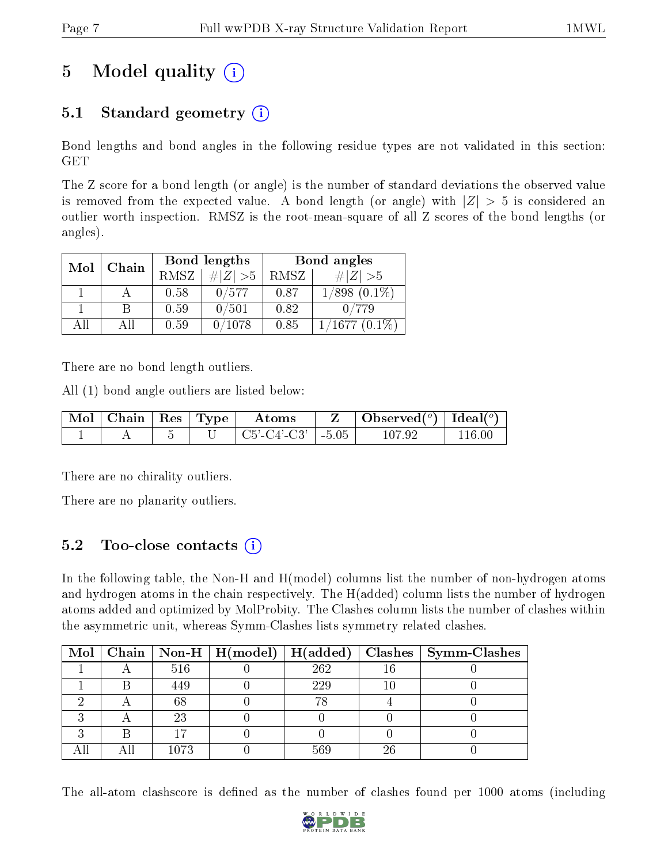# 5 Model quality  $(i)$

## 5.1 Standard geometry  $(i)$

Bond lengths and bond angles in the following residue types are not validated in this section: GET

The Z score for a bond length (or angle) is the number of standard deviations the observed value is removed from the expected value. A bond length (or angle) with  $|Z| > 5$  is considered an outlier worth inspection. RMSZ is the root-mean-square of all Z scores of the bond lengths (or angles).

| Mol | Chain |      | Bond lengths | Bond angles |                        |  |
|-----|-------|------|--------------|-------------|------------------------|--|
|     |       | RMSZ | $\# Z  > 5$  | RMSZ        | $\# Z  > 5$            |  |
|     |       | 0.58 | 0/577        | 0.87        | $1/898$ $(0.1\%)$      |  |
|     | В     | 0.59 | 0/501        | 0.82        | 0/779                  |  |
| AH  | ΑH    | 0.59 | 0/1078       | 0.85        | $\langle 1677~(0.1\%)$ |  |

There are no bond length outliers.

All (1) bond angle outliers are listed below:

| Mol   Chain   Res   Type |            | Atoms                 |         | Observed( $^{\circ}$ )   Ideal( $^{\circ}$ ) |       |
|--------------------------|------------|-----------------------|---------|----------------------------------------------|-------|
|                          | $\tilde{}$ | $C5'$ - $C4'$ - $C3'$ | $-5.05$ |                                              | 16 OC |

There are no chirality outliers.

There are no planarity outliers.

### 5.2 Too-close contacts (i)

In the following table, the Non-H and H(model) columns list the number of non-hydrogen atoms and hydrogen atoms in the chain respectively. The H(added) column lists the number of hydrogen atoms added and optimized by MolProbity. The Clashes column lists the number of clashes within the asymmetric unit, whereas Symm-Clashes lists symmetry related clashes.

|  |      |     |    | Mol   Chain   Non-H   H(model)   H(added)   Clashes   Symm-Clashes |
|--|------|-----|----|--------------------------------------------------------------------|
|  | 516  | 262 |    |                                                                    |
|  | 449  | 229 |    |                                                                    |
|  | 68   |     |    |                                                                    |
|  | 23   |     |    |                                                                    |
|  |      |     |    |                                                                    |
|  | 1073 | 569 | 26 |                                                                    |

The all-atom clashscore is defined as the number of clashes found per 1000 atoms (including

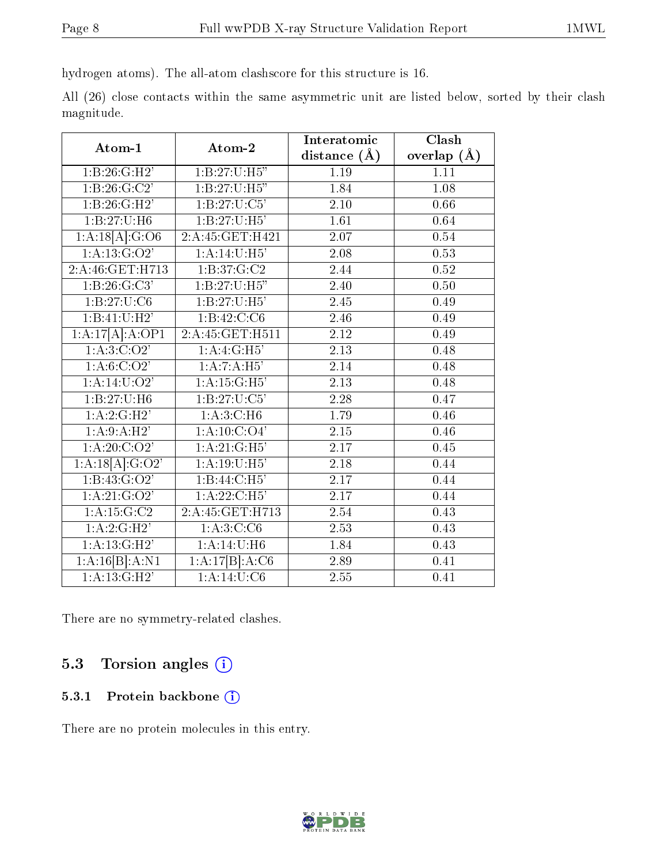hydrogen atoms). The all-atom clashscore for this structure is 16.

All (26) close contacts within the same asymmetric unit are listed below, sorted by their clash magnitude.

| Atom-1                                | Atom-2                     | Interatomic       | Clash         |
|---------------------------------------|----------------------------|-------------------|---------------|
|                                       |                            | distance $(\AA)$  | overlap $(A)$ |
| 1:B:26:GI:H2'                         | 1: B: 27: U:H5"            | $\overline{1.19}$ | 1.11          |
| 1: B:26: G:C2'                        | 1:B:27:U:H5"               | 1.84              | 1.08          |
| 1:B:26:G:H2'                          | $1: B:27:U:\overline{C5'}$ | 2.10              | 0.66          |
| 1: B: 27: U: H6                       | 1: B: 27: U: H5'           | $\overline{1.61}$ | 0.64          |
| $1:A:18[\overline{A}]\overline{G:O6}$ | 2:A:45:GET:H421            | 2.07              | 0.54          |
| 1: A: 13: G: O2'                      | 1:A:14:U:H5'               | $\overline{2.08}$ | 0.53          |
| 2:A:46:GET:H713                       | 1:B:37:G:C2                | 2.44              | 0.52          |
| 1: B:26: G: C3'                       | 1:B:27:U:H5"               | 2.40              | 0.50          |
| 1: B:27: U: C6                        | 1: B: 27: U:H5'            | $\overline{2.45}$ | 0.49          |
| 1:B:41:U:H <sub>2</sub>               | 1: B: 42: C: C6            | 2.46              | 0.49          |
| 1:A:17[A]:A:OP1                       | 2:A:45:GET:H511            | 2.12              | 0.49          |
| $1:\overline{A:3:C:O2'}$              | 1:A:4:G:H5'                | $\overline{2.13}$ | 0.48          |
| 1: A:6:C O 2'                         | 1:A:7:A:H5'                | 2.14              | 0.48          |
| 1: A:14: U:O2'                        | 1: A:15: G:H5'             | 2.13              | 0.48          |
| 1:B:27:U:H6                           | 1: B: 27: U: C5'           | 2.28              | 0.47          |
| 1:A:2:G:H2'                           | 1: A:3:C:H6                | 1.79              | 0.46          |
| 1:A:9:A:H2'                           | 1:A:10:C:O4'               | $2.15\,$          | 0.46          |
| 1: A:20: C:O2'                        | 1: A:21: G:H5'             | $\overline{2.17}$ | 0.45          |
| 1:A:18[A]:G:O2'                       | $1:\overline{A:19:U:H5'}$  | 2.18              | 0.44          |
| 1: B: 43: G: O2'                      | 1:B:44:C:H5'               | 2.17              | 0.44          |
| 1: A:21: G:O2'                        | 1:A:22:C:H5'               | 2.17              | 0.44          |
| 1:A:15:G:C2                           | 2:A:45:GET:H713            | 2.54              | 0.43          |
| 1:A:2:GH2'                            | $1:\overline{A:3:C:C6}$    | $\overline{2.53}$ | 0.43          |
| 1: A: 13: G:H2'                       | 1:A:14:U:H6                | 1.84              | 0.43          |
| 1:A:16[B]:A:N1                        | 1:A:17[B]:A:C6             | 2.89              | 0.41          |
| 1:A:13:G:H2                           | 1:A:14:U:C6                | 2.55              | 0.41          |

There are no symmetry-related clashes.

## 5.3 Torsion angles (i)

#### 5.3.1 Protein backbone (i)

There are no protein molecules in this entry.

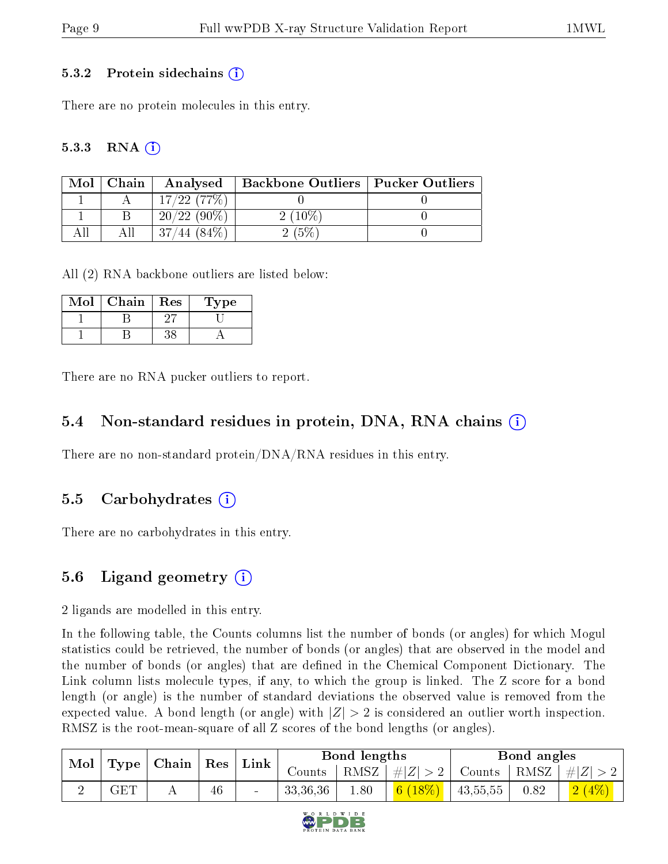#### 5.3.2 Protein sidechains  $\hat{1}$

There are no protein molecules in this entry.

#### 5.3.3 RNA  $(i)$

| Mol | Chain | Analysed               | Backbone Outliers   Pucker Outliers |  |
|-----|-------|------------------------|-------------------------------------|--|
|     |       | $17/22$ (77\%)         |                                     |  |
|     |       | $/22(90\%)$<br>20/     | $2(10\%$                            |  |
|     |       | $^{\prime}84\%$<br>44. |                                     |  |

All (2) RNA backbone outliers are listed below:

| $\operatorname{Mol}$ | Chain | Res | ype |
|----------------------|-------|-----|-----|
|                      |       |     |     |
|                      |       |     |     |

There are no RNA pucker outliers to report.

#### 5.4 Non-standard residues in protein, DNA, RNA chains (i)

There are no non-standard protein/DNA/RNA residues in this entry.

### 5.5 Carbohydrates (i)

There are no carbohydrates in this entry.

### 5.6 Ligand geometry (i)

2 ligands are modelled in this entry.

In the following table, the Counts columns list the number of bonds (or angles) for which Mogul statistics could be retrieved, the number of bonds (or angles) that are observed in the model and the number of bonds (or angles) that are defined in the Chemical Component Dictionary. The Link column lists molecule types, if any, to which the group is linked. The Z score for a bond length (or angle) is the number of standard deviations the observed value is removed from the expected value. A bond length (or angle) with  $|Z| > 2$  is considered an outlier worth inspection. RMSZ is the root-mean-square of all Z scores of the bond lengths (or angles).

| Mol   Type   Chain   Res   Link |                      |  |    |  | Bond lengths |      |                       | Bond angles |      |                                              |
|---------------------------------|----------------------|--|----|--|--------------|------|-----------------------|-------------|------|----------------------------------------------|
|                                 |                      |  |    |  | Counts       |      | $ RMSZ  \#  Z  > 2  $ |             |      | $\perp$ Counts $\mid$ RMSZ $\mid \#  Z  > 2$ |
|                                 | $\operatorname{GET}$ |  | 46 |  | 33,36,36     | 1.80 | 6 $(18\%)$            | 43,55,55    | 0.82 | $2(4\%)$                                     |

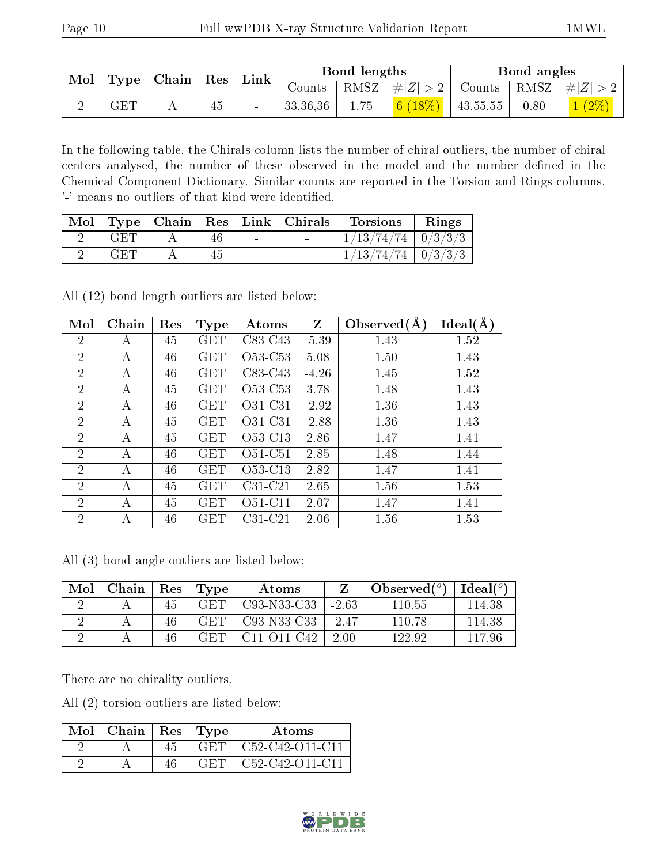| $\mid$ Mol $\mid$ Type $\mid$ Chain $\mid$ Res $\mid$ Link $\mid$ |            |  |    |          |      | Bond lengths                                                          |      | Bond angles                                                                  |  |
|-------------------------------------------------------------------|------------|--|----|----------|------|-----------------------------------------------------------------------|------|------------------------------------------------------------------------------|--|
|                                                                   |            |  |    | $Counts$ |      |                                                                       |      | $\mid$ RMSZ $\mid \#  Z  > 2 \mid$ Counts $\mid$ RMSZ $\mid \#  Z  > 2 \mid$ |  |
|                                                                   | <b>GET</b> |  | 45 | 33,36,36 | 1.75 | $\begin{array}{ c c c c c c } \hline 6 (18\%) & 43,55,55 \end{array}$ | 0.80 | $\begin{array}{ c c c }\hline 1 & (2\% ) \ \hline \end{array}$               |  |

In the following table, the Chirals column lists the number of chiral outliers, the number of chiral centers analysed, the number of these observed in the model and the number defined in the Chemical Component Dictionary. Similar counts are reported in the Torsion and Rings columns. '-' means no outliers of that kind were identified.

|     |    |        | Mol   Type   Chain   Res   Link   Chirals | Torsions                       | Rings |
|-----|----|--------|-------------------------------------------|--------------------------------|-------|
| GET | 46 | $\sim$ |                                           | $1/13/74/74$   $0/3/3/3$       |       |
| GET | 45 | $\sim$ |                                           | $\frac{1}{13}/74/74$   0/3/3/3 |       |

All (12) bond length outliers are listed below:

| Mol            | Chain | Res | <b>Type</b>          | Atoms                            | $\mathbf{Z}$ | Observed $(A)$ | Ideal(A) |
|----------------|-------|-----|----------------------|----------------------------------|--------------|----------------|----------|
| $\overline{2}$ | А     | 45  | <b>GET</b>           | $C83-C43$                        | $-5.39$      | 1.43           | 1.52     |
| $\overline{2}$ | А     | 46  | <b>GET</b>           | O <sub>53</sub> -C <sub>53</sub> | 5.08         | 1.50           | 1.43     |
| $\overline{2}$ | А     | 46  | $\operatorname{GET}$ | $C83-C43$                        | $-4.26$      | 1.45           | 1.52     |
| $\overline{2}$ | A     | 45  | GET                  | O <sub>53</sub> -C <sub>53</sub> | 3.78         | 1.48           | 1.43     |
| $\overline{2}$ | A     | 46  | <b>GET</b>           | O31-C31                          | $-2.92$      | 1.36           | 1.43     |
| $\overline{2}$ | А     | 45  | <b>GET</b>           | O31-C31                          | $-2.88$      | 1.36           | 1.43     |
| $\overline{2}$ | А     | 45  | <b>GET</b>           | O53-C13                          | 2.86         | 1.47           | 1.41     |
| $\overline{2}$ | А     | 46  | <b>GET</b>           | $O51-C51$                        | 2.85         | 1.48           | 1.44     |
| $\overline{2}$ | А     | 46  | <b>GET</b>           | O <sub>53</sub> -C <sub>13</sub> | 2.82         | 1.47           | 1.41     |
| $\overline{2}$ | А     | 45  | <b>GET</b>           | $C31-C21$                        | 2.65         | 1.56           | 1.53     |
| $\overline{2}$ | А     | 45  | <b>GET</b>           | $O51-Cl1$                        | 2.07         | 1.47           | 1.41     |
| $\overline{2}$ | А     | 46  | GET                  | $C31-C21$                        | 2.06         | 1.56           | 1.53     |

All (3) bond angle outliers are listed below:

| Mol | Chain | Res | Type | Atoms                                             |         | Observed $(°)$ | $Ideal(^o)$ |
|-----|-------|-----|------|---------------------------------------------------|---------|----------------|-------------|
|     |       | 45  | GET  | C93-N33-C33                                       | $-2.63$ | 110.55         | 114.38      |
|     |       | 46  | GET  | C <sub>93</sub> -N <sub>33</sub> -C <sub>33</sub> | $-2.47$ | 110.78         | 114.38      |
|     |       | 46  | GET  | $C11 - O11 - C42$                                 | 2.00    | 122.92         | 117 96      |

There are no chirality outliers.

All (2) torsion outliers are listed below:

| Mol | Chain | Res | Type   | Atoms                                                              |
|-----|-------|-----|--------|--------------------------------------------------------------------|
|     |       |     | GET.   | C <sub>52</sub> -C <sub>42</sub> -O <sub>11</sub> -C <sub>11</sub> |
|     |       |     | -CIHTI | $C52-C42-O11-C11$                                                  |

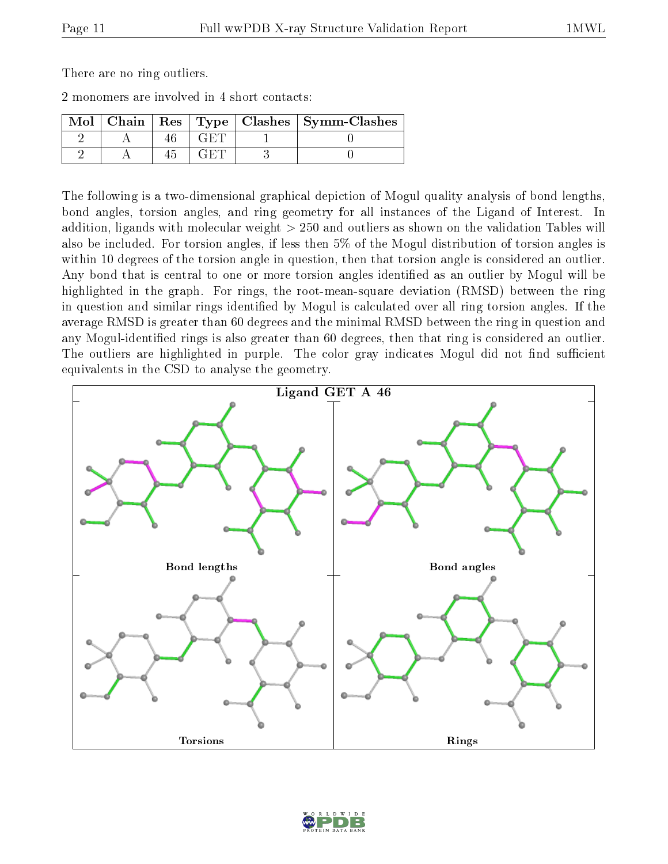There are no ring outliers.

2 monomers are involved in 4 short contacts:

| $Mol$   Chain |  | Res   Type   Clashes   Symm-Clashes |
|---------------|--|-------------------------------------|
|               |  |                                     |
|               |  |                                     |

The following is a two-dimensional graphical depiction of Mogul quality analysis of bond lengths, bond angles, torsion angles, and ring geometry for all instances of the Ligand of Interest. In addition, ligands with molecular weight > 250 and outliers as shown on the validation Tables will also be included. For torsion angles, if less then 5% of the Mogul distribution of torsion angles is within 10 degrees of the torsion angle in question, then that torsion angle is considered an outlier. Any bond that is central to one or more torsion angles identified as an outlier by Mogul will be highlighted in the graph. For rings, the root-mean-square deviation (RMSD) between the ring in question and similar rings identified by Mogul is calculated over all ring torsion angles. If the average RMSD is greater than 60 degrees and the minimal RMSD between the ring in question and any Mogul-identified rings is also greater than 60 degrees, then that ring is considered an outlier. The outliers are highlighted in purple. The color gray indicates Mogul did not find sufficient equivalents in the CSD to analyse the geometry.



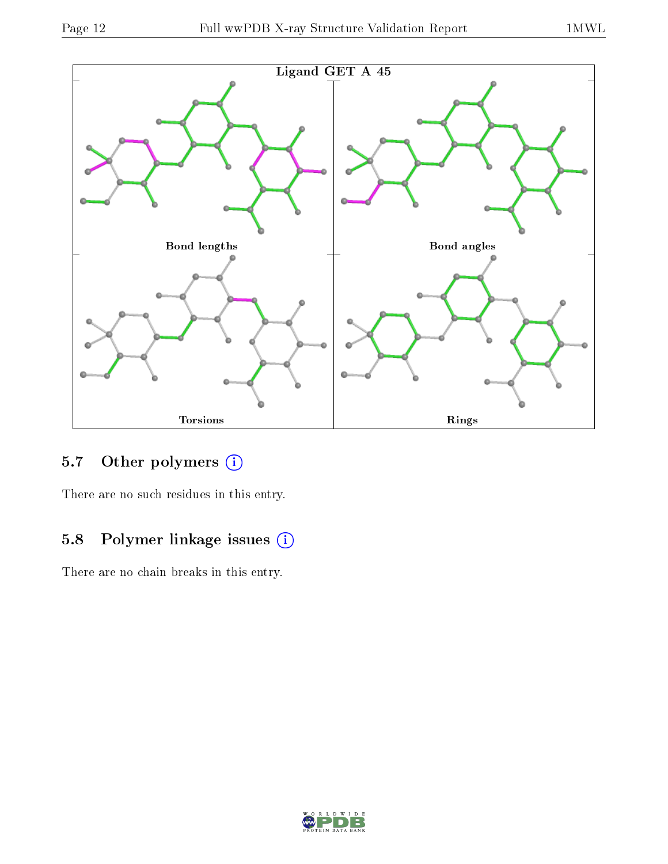

## 5.7 [O](https://www.wwpdb.org/validation/2017/XrayValidationReportHelp#nonstandard_residues_and_ligands)ther polymers (i)

There are no such residues in this entry.

## 5.8 Polymer linkage issues (i)

There are no chain breaks in this entry.

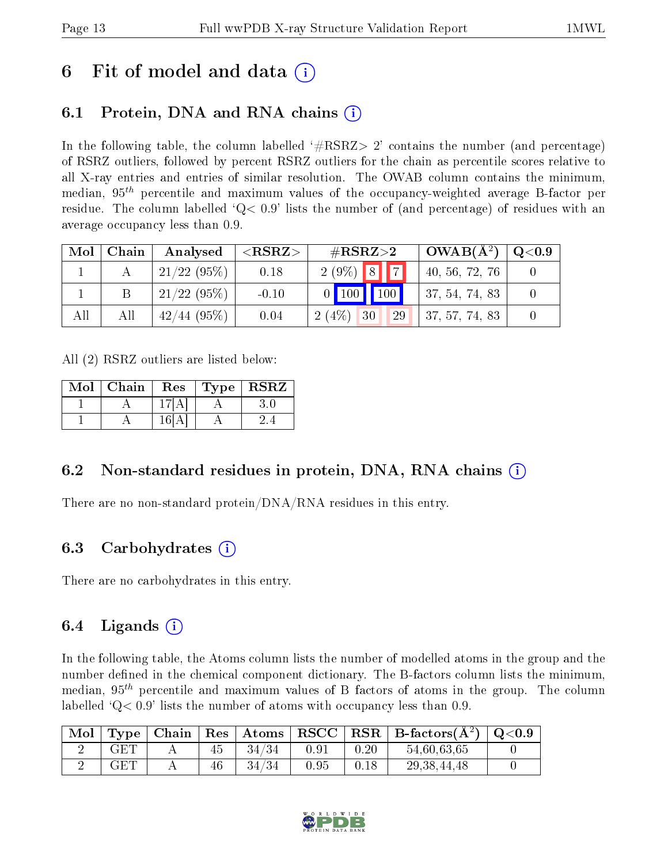## 6 Fit of model and data  $\left( \cdot \right)$

## 6.1 Protein, DNA and RNA chains (i)

In the following table, the column labelled  $#RSRZ>2'$  contains the number (and percentage) of RSRZ outliers, followed by percent RSRZ outliers for the chain as percentile scores relative to all X-ray entries and entries of similar resolution. The OWAB column contains the minimum, median,  $95<sup>th</sup>$  percentile and maximum values of the occupancy-weighted average B-factor per residue. The column labelled  $Q < 0.9$  lists the number of (and percentage) of residues with an average occupancy less than 0.9.

| Mol | Chain | Analysed      | ${ <\hspace{-1.5pt}{\mathrm{RSRZ}} \hspace{-1.5pt}>}$ | $\#\text{RSRZ}{>}2$               | $OWAB(A^2)$    | $\rm Q\textcolor{black}{<}0.9$ |
|-----|-------|---------------|-------------------------------------------------------|-----------------------------------|----------------|--------------------------------|
|     |       | $1/22(95\%)$  | 0.18                                                  | $2(9\%)$ 8 7                      | 40, 56, 72, 76 |                                |
|     |       | $21/22$ (95%) | $-0.10$                                               | $\mid$ 100 $\mid$ 100 $\mid$      | 37, 54, 74, 83 |                                |
| All | All   | $42/44$ (95%) | 0.04                                                  | (4%<br>30<br>29<br>$\overline{2}$ | 37, 57, 74, 83 |                                |

All (2) RSRZ outliers are listed below:

| Mol | Chain | Res | Type   RSRZ |
|-----|-------|-----|-------------|
|     |       |     |             |
|     |       | 16L |             |

### 6.2 Non-standard residues in protein, DNA, RNA chains  $(i)$

There are no non-standard protein/DNA/RNA residues in this entry.

### 6.3 Carbohydrates (i)

There are no carbohydrates in this entry.

### 6.4 Ligands  $(i)$

In the following table, the Atoms column lists the number of modelled atoms in the group and the number defined in the chemical component dictionary. The B-factors column lists the minimum, median,  $95<sup>th</sup>$  percentile and maximum values of B factors of atoms in the group. The column labelled  $Q< 0.9$ ' lists the number of atoms with occupancy less than 0.9.

| Mol |            |    |       |      |      | $\langle$ Type   Chain   Res   Atoms   RSCC   RSR   B-factors $(A^2)$   Q<0.9 |  |
|-----|------------|----|-------|------|------|-------------------------------------------------------------------------------|--|
|     | GET        | 45 | 34/34 | 0.91 | 0.20 | 54,60,63,65                                                                   |  |
|     | <b>GET</b> | 46 | 34/34 | 0.95 | 0.18 | 29, 38, 44, 48                                                                |  |

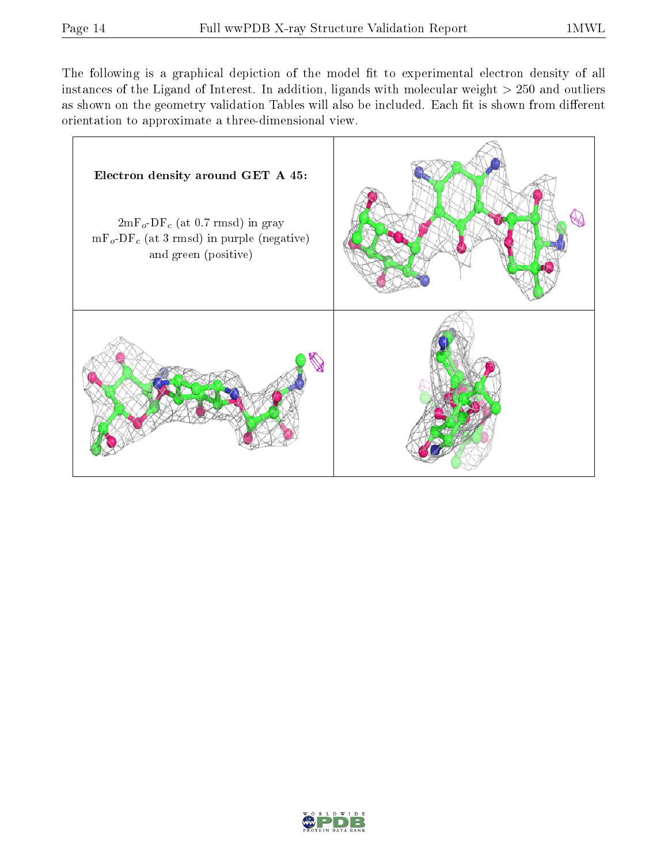The following is a graphical depiction of the model fit to experimental electron density of all instances of the Ligand of Interest. In addition, ligands with molecular weight  $> 250$  and outliers as shown on the geometry validation Tables will also be included. Each fit is shown from different orientation to approximate a three-dimensional view.